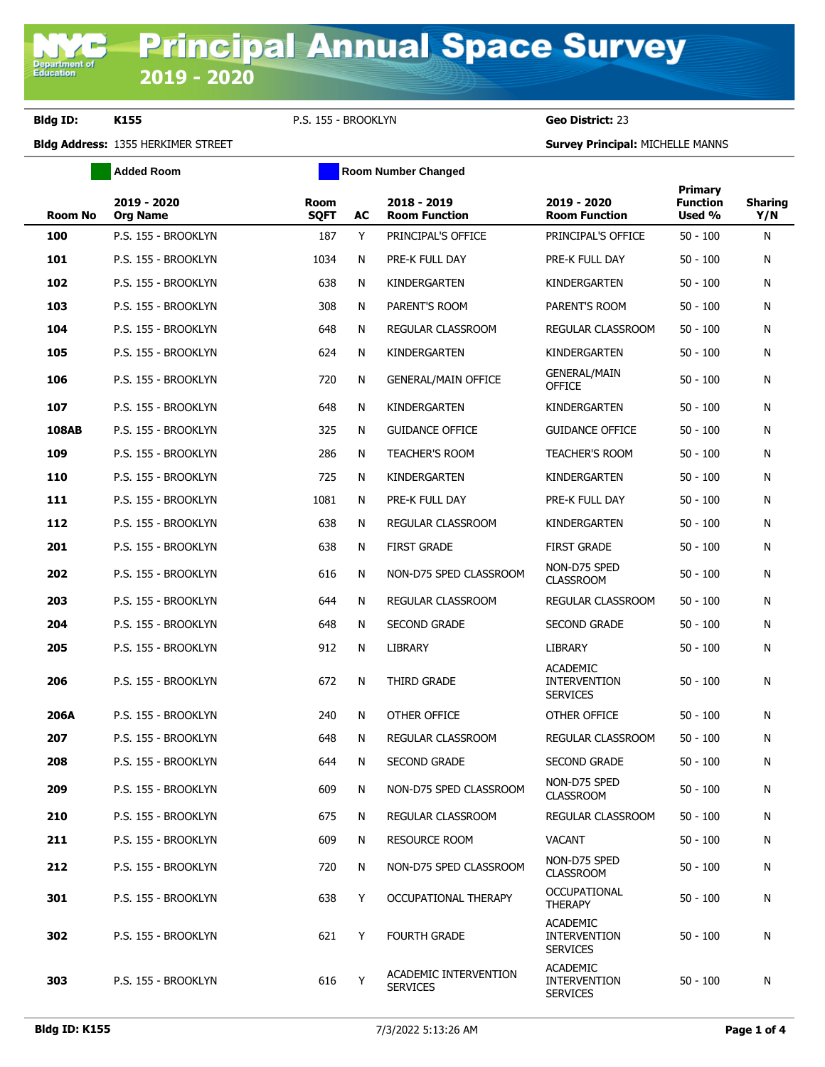**Department of**<br>Education

**Bldg ID: K155** P.S. 155 - BROOKLYN **Geo District:** 23

**Bldg Address:** 1355 HERKIMER STREET **Survey Principal:** MICHELLE MANNS

|                | <b>Added Room</b>              | <b>Room Number Changed</b> |    |                                          |                                                           |                                      |                       |
|----------------|--------------------------------|----------------------------|----|------------------------------------------|-----------------------------------------------------------|--------------------------------------|-----------------------|
| <b>Room No</b> | 2019 - 2020<br><b>Org Name</b> | <b>Room</b><br><b>SQFT</b> | AC | 2018 - 2019<br><b>Room Function</b>      | 2019 - 2020<br><b>Room Function</b>                       | Primary<br><b>Function</b><br>Used % | <b>Sharing</b><br>Y/N |
| 100            | P.S. 155 - BROOKLYN            | 187                        | Y  | PRINCIPAL'S OFFICE                       | PRINCIPAL'S OFFICE                                        | $50 - 100$                           | N                     |
| 101            | P.S. 155 - BROOKLYN            | 1034                       | N  | PRE-K FULL DAY                           | PRE-K FULL DAY                                            | $50 - 100$                           | N                     |
| 102            | P.S. 155 - BROOKLYN            | 638                        | N  | KINDERGARTEN                             | KINDERGARTEN                                              | $50 - 100$                           | N                     |
| 103            | P.S. 155 - BROOKLYN            | 308                        | N  | PARENT'S ROOM                            | PARENT'S ROOM                                             | $50 - 100$                           | N                     |
| 104            | P.S. 155 - BROOKLYN            | 648                        | N  | REGULAR CLASSROOM                        | REGULAR CLASSROOM                                         | $50 - 100$                           | N                     |
| 105            | P.S. 155 - BROOKLYN            | 624                        | N  | KINDERGARTEN                             | KINDERGARTEN                                              | $50 - 100$                           | N                     |
| 106            | P.S. 155 - BROOKLYN            | 720                        | N  | <b>GENERAL/MAIN OFFICE</b>               | <b>GENERAL/MAIN</b><br><b>OFFICE</b>                      | $50 - 100$                           | N                     |
| 107            | P.S. 155 - BROOKLYN            | 648                        | N  | KINDERGARTEN                             | KINDERGARTEN                                              | $50 - 100$                           | N                     |
| <b>108AB</b>   | P.S. 155 - BROOKLYN            | 325                        | N  | <b>GUIDANCE OFFICE</b>                   | <b>GUIDANCE OFFICE</b>                                    | $50 - 100$                           | N                     |
| 109            | P.S. 155 - BROOKLYN            | 286                        | N  | <b>TEACHER'S ROOM</b>                    | <b>TEACHER'S ROOM</b>                                     | $50 - 100$                           | N                     |
| 110            | P.S. 155 - BROOKLYN            | 725                        | N  | KINDERGARTEN                             | KINDERGARTEN                                              | $50 - 100$                           | N                     |
| 111            | P.S. 155 - BROOKLYN            | 1081                       | N  | PRE-K FULL DAY                           | PRE-K FULL DAY                                            | $50 - 100$                           | N                     |
| 112            | P.S. 155 - BROOKLYN            | 638                        | N  | REGULAR CLASSROOM                        | KINDERGARTEN                                              | $50 - 100$                           | N                     |
| 201            | P.S. 155 - BROOKLYN            | 638                        | N  | <b>FIRST GRADE</b>                       | <b>FIRST GRADE</b>                                        | $50 - 100$                           | N                     |
| 202            | P.S. 155 - BROOKLYN            | 616                        | N  | NON-D75 SPED CLASSROOM                   | NON-D75 SPED<br><b>CLASSROOM</b>                          | $50 - 100$                           | N                     |
| 203            | P.S. 155 - BROOKLYN            | 644                        | N  | REGULAR CLASSROOM                        | REGULAR CLASSROOM                                         | $50 - 100$                           | N                     |
| 204            | P.S. 155 - BROOKLYN            | 648                        | N  | <b>SECOND GRADE</b>                      | <b>SECOND GRADE</b>                                       | $50 - 100$                           | N                     |
| 205            | P.S. 155 - BROOKLYN            | 912                        | N  | <b>LIBRARY</b>                           | <b>LIBRARY</b>                                            | $50 - 100$                           | N                     |
| 206            | P.S. 155 - BROOKLYN            | 672                        | N  | <b>THIRD GRADE</b>                       | <b>ACADEMIC</b><br><b>INTERVENTION</b><br><b>SERVICES</b> | $50 - 100$                           | N                     |
| 206A           | P.S. 155 - BROOKLYN            | 240                        | N  | OTHER OFFICE                             | OTHER OFFICE                                              | $50 - 100$                           | N                     |
| 207            | P.S. 155 - BROOKLYN            | 648                        | N  | REGULAR CLASSROOM                        | REGULAR CLASSROOM                                         | $50 - 100$                           | N                     |
| 208            | P.S. 155 - BROOKLYN            | 644                        | N  | SECOND GRADE                             | SECOND GRADE                                              | $50 - 100$                           | N                     |
| 209            | P.S. 155 - BROOKLYN            | 609                        | N  | NON-D75 SPED CLASSROOM                   | NON-D75 SPED<br><b>CLASSROOM</b>                          | $50 - 100$                           | N                     |
| 210            | P.S. 155 - BROOKLYN            | 675                        | N  | REGULAR CLASSROOM                        | REGULAR CLASSROOM                                         | $50 - 100$                           | N                     |
| 211            | P.S. 155 - BROOKLYN            | 609                        | N  | <b>RESOURCE ROOM</b>                     | <b>VACANT</b>                                             | $50 - 100$                           | N                     |
| 212            | P.S. 155 - BROOKLYN            | 720                        | N  | NON-D75 SPED CLASSROOM                   | NON-D75 SPED<br><b>CLASSROOM</b>                          | $50 - 100$                           | N                     |
| 301            | P.S. 155 - BROOKLYN            | 638                        | Y  | OCCUPATIONAL THERAPY                     | <b>OCCUPATIONAL</b><br><b>THERAPY</b>                     | $50 - 100$                           | N                     |
| 302            | P.S. 155 - BROOKLYN            | 621                        | Y  | <b>FOURTH GRADE</b>                      | <b>ACADEMIC</b><br><b>INTERVENTION</b><br><b>SERVICES</b> | $50 - 100$                           | N                     |
| 303            | P.S. 155 - BROOKLYN            | 616                        | Y  | ACADEMIC INTERVENTION<br><b>SERVICES</b> | <b>ACADEMIC</b><br><b>INTERVENTION</b><br><b>SERVICES</b> | $50 - 100$                           | N                     |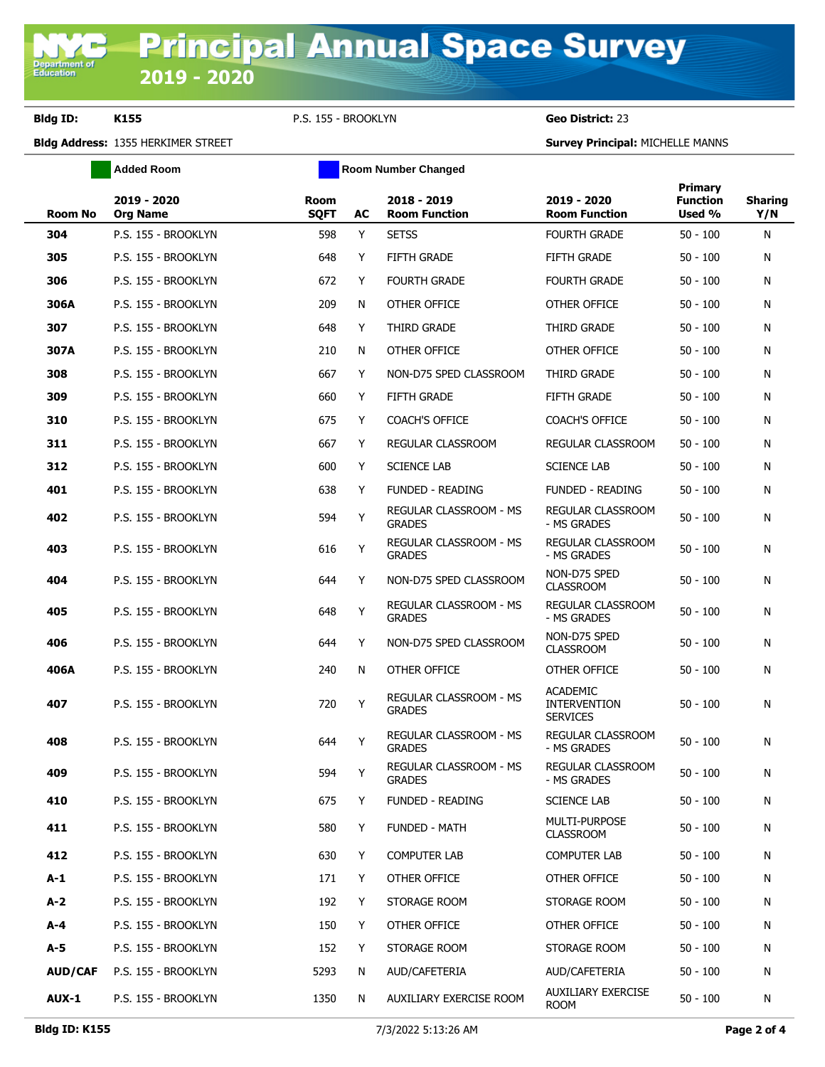**Bldg ID: K155** P.S. 155 - BROOKLYN **Geo District:** 23

**Added Room Room Room Number Changed** 

**Bldg Address:** 1355 HERKIMER STREET **Survey Principal:** MICHELLE MANNS

| <b>Room No</b> | 2019 - 2020<br><b>Org Name</b> | Room<br><b>SQFT</b> | AC | 2018 - 2019<br><b>Room Function</b>            | 2019 - 2020<br><b>Room Function</b>                       | <b>Primary</b><br><b>Function</b><br>Used % | <b>Sharing</b><br>Y/N |
|----------------|--------------------------------|---------------------|----|------------------------------------------------|-----------------------------------------------------------|---------------------------------------------|-----------------------|
| 304            | P.S. 155 - BROOKLYN            | 598                 | Y  | <b>SETSS</b>                                   | <b>FOURTH GRADE</b>                                       | $50 - 100$                                  | N                     |
| 305            | P.S. 155 - BROOKLYN            | 648                 | Y  | <b>FIFTH GRADE</b>                             | <b>FIFTH GRADE</b>                                        | $50 - 100$                                  | N                     |
| 306            | P.S. 155 - BROOKLYN            | 672                 | Y  | <b>FOURTH GRADE</b>                            | <b>FOURTH GRADE</b>                                       | $50 - 100$                                  | N                     |
| 306A           | P.S. 155 - BROOKLYN            | 209                 | N  | OTHER OFFICE                                   | OTHER OFFICE                                              | $50 - 100$                                  | N                     |
| 307            | P.S. 155 - BROOKLYN            | 648                 | Y  | THIRD GRADE                                    | THIRD GRADE                                               | $50 - 100$                                  | N                     |
| 307A           | P.S. 155 - BROOKLYN            | 210                 | N  | OTHER OFFICE                                   | OTHER OFFICE                                              | $50 - 100$                                  | N                     |
| 308            | P.S. 155 - BROOKLYN            | 667                 | Y  | NON-D75 SPED CLASSROOM                         | THIRD GRADE                                               | $50 - 100$                                  | N                     |
| 309            | P.S. 155 - BROOKLYN            | 660                 | Y  | <b>FIFTH GRADE</b>                             | <b>FIFTH GRADE</b>                                        | $50 - 100$                                  | N                     |
| 310            | P.S. 155 - BROOKLYN            | 675                 | Y  | <b>COACH'S OFFICE</b>                          | <b>COACH'S OFFICE</b>                                     | $50 - 100$                                  | N                     |
| 311            | P.S. 155 - BROOKLYN            | 667                 | Y  | REGULAR CLASSROOM                              | REGULAR CLASSROOM                                         | $50 - 100$                                  | N                     |
| 312            | P.S. 155 - BROOKLYN            | 600                 | Y  | <b>SCIENCE LAB</b>                             | <b>SCIENCE LAB</b>                                        | $50 - 100$                                  | N                     |
| 401            | P.S. 155 - BROOKLYN            | 638                 | Y  | <b>FUNDED - READING</b>                        | <b>FUNDED - READING</b>                                   | $50 - 100$                                  | N                     |
| 402            | P.S. 155 - BROOKLYN            | 594                 | Υ  | REGULAR CLASSROOM - MS<br><b>GRADES</b>        | REGULAR CLASSROOM<br>- MS GRADES                          | $50 - 100$                                  | N                     |
| 403            | P.S. 155 - BROOKLYN            | 616                 | Y  | REGULAR CLASSROOM - MS<br><b>GRADES</b>        | REGULAR CLASSROOM<br>- MS GRADES                          | $50 - 100$                                  | N                     |
| 404            | P.S. 155 - BROOKLYN            | 644                 | Y  | NON-D75 SPED CLASSROOM                         | NON-D75 SPED<br><b>CLASSROOM</b>                          | $50 - 100$                                  | N                     |
| 405            | P.S. 155 - BROOKLYN            | 648                 | Y  | REGULAR CLASSROOM - MS<br><b>GRADES</b>        | REGULAR CLASSROOM<br>- MS GRADES                          | $50 - 100$                                  | N                     |
| 406            | P.S. 155 - BROOKLYN            | 644                 | Y  | NON-D75 SPED CLASSROOM                         | NON-D75 SPED<br><b>CLASSROOM</b>                          | $50 - 100$                                  | N                     |
| 406A           | P.S. 155 - BROOKLYN            | 240                 | N  | OTHER OFFICE                                   | OTHER OFFICE                                              | $50 - 100$                                  | N                     |
| 407            | P.S. 155 - BROOKLYN            | 720                 | Υ  | REGULAR CLASSROOM - MS<br><b>GRADES</b>        | <b>ACADEMIC</b><br><b>INTERVENTION</b><br><b>SERVICES</b> | $50 - 100$                                  | N                     |
| 408            | P.S. 155 - BROOKLYN            | 644                 | Υ  | <b>REGULAR CLASSROOM - MS</b><br><b>GRADES</b> | REGULAR CLASSROOM<br>- MS GRADES                          | $50 - 100$                                  | N                     |
| 409            | P.S. 155 - BROOKLYN            | 594                 | Y  | REGULAR CLASSROOM - MS<br><b>GRADES</b>        | REGULAR CLASSROOM<br>- MS GRADES                          | $50 - 100$                                  | N                     |
| 410            | P.S. 155 - BROOKLYN            | 675                 | Y  | <b>FUNDED - READING</b>                        | <b>SCIENCE LAB</b>                                        | $50 - 100$                                  | N                     |
| 411            | P.S. 155 - BROOKLYN            | 580                 | Y  | FUNDED - MATH                                  | <b>MULTI-PURPOSE</b><br><b>CLASSROOM</b>                  | $50 - 100$                                  | N                     |
| 412            | P.S. 155 - BROOKLYN            | 630                 | Y  | <b>COMPUTER LAB</b>                            | <b>COMPUTER LAB</b>                                       | $50 - 100$                                  | N                     |
| $A-1$          | P.S. 155 - BROOKLYN            | 171                 | Y  | OTHER OFFICE                                   | OTHER OFFICE                                              | $50 - 100$                                  | N                     |
| $A-2$          | P.S. 155 - BROOKLYN            | 192                 | Y  | STORAGE ROOM                                   | STORAGE ROOM                                              | $50 - 100$                                  | N                     |
| $A - 4$        | P.S. 155 - BROOKLYN            | 150                 | Y  | OTHER OFFICE                                   | OTHER OFFICE                                              | $50 - 100$                                  | N                     |
| $A-5$          | P.S. 155 - BROOKLYN            | 152                 | Y  | STORAGE ROOM                                   | STORAGE ROOM                                              | $50 - 100$                                  | N                     |
| <b>AUD/CAF</b> | P.S. 155 - BROOKLYN            | 5293                | N  | AUD/CAFETERIA                                  | AUD/CAFETERIA                                             | $50 - 100$                                  | N                     |
| <b>AUX-1</b>   | P.S. 155 - BROOKLYN            | 1350                | N  | AUXILIARY EXERCISE ROOM                        | AUXILIARY EXERCISE<br><b>ROOM</b>                         | $50 - 100$                                  | N                     |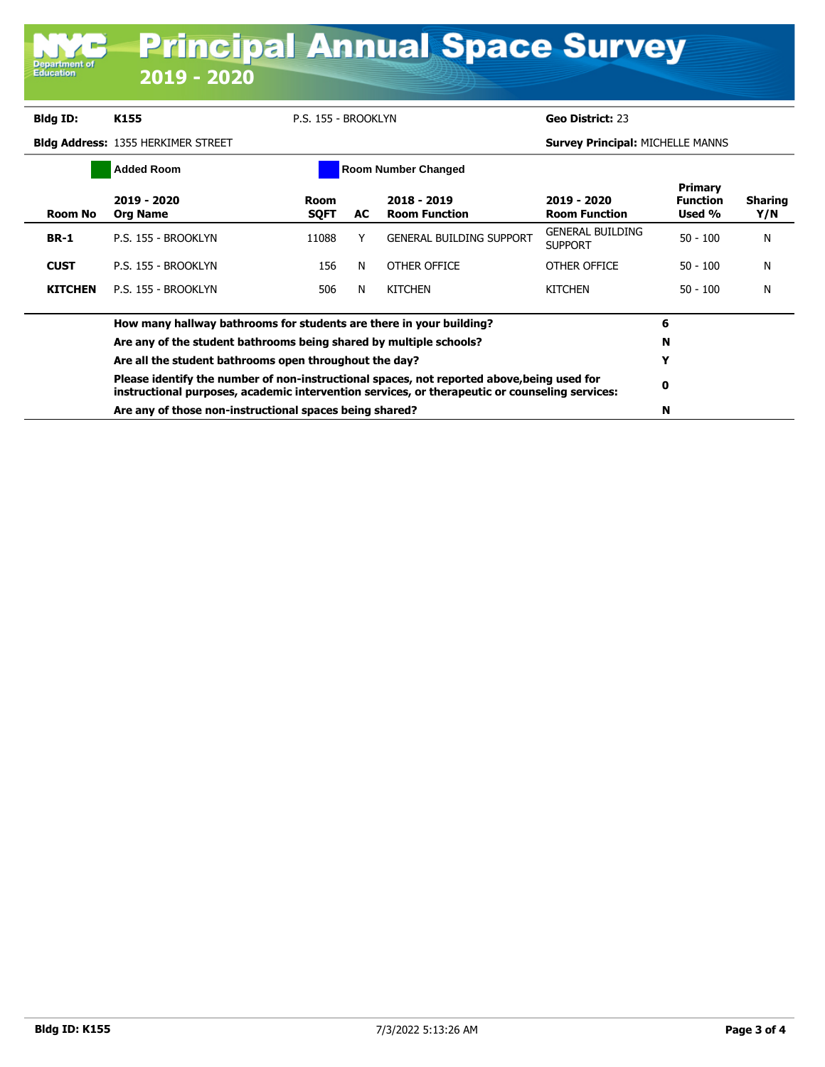| <b>Principal Annual Space Survey</b><br><b>Department of</b><br><b>Education</b><br>2019 - 2020 |                                                                                                                                                                                              |                     |    |                                     |                                           |                                             |                       |
|-------------------------------------------------------------------------------------------------|----------------------------------------------------------------------------------------------------------------------------------------------------------------------------------------------|---------------------|----|-------------------------------------|-------------------------------------------|---------------------------------------------|-----------------------|
|                                                                                                 |                                                                                                                                                                                              |                     |    |                                     |                                           |                                             |                       |
| <b>Bldg ID:</b>                                                                                 | K155                                                                                                                                                                                         | P.S. 155 - BROOKLYN |    |                                     | Geo District: 23                          |                                             |                       |
|                                                                                                 | <b>Bldg Address: 1355 HERKIMER STREET</b>                                                                                                                                                    |                     |    |                                     | <b>Survey Principal: MICHELLE MANNS</b>   |                                             |                       |
|                                                                                                 | <b>Added Room</b><br><b>Room Number Changed</b>                                                                                                                                              |                     |    |                                     |                                           |                                             |                       |
| <b>Room No</b>                                                                                  | 2019 - 2020<br><b>Org Name</b>                                                                                                                                                               | Room<br><b>SQFT</b> | AC | 2018 - 2019<br><b>Room Function</b> | 2019 - 2020<br><b>Room Function</b>       | <b>Primary</b><br><b>Function</b><br>Used % | <b>Sharing</b><br>Y/N |
| <b>BR-1</b>                                                                                     | P.S. 155 - BROOKLYN                                                                                                                                                                          | 11088               | Y  | <b>GENERAL BUILDING SUPPORT</b>     | <b>GENERAL BUILDING</b><br><b>SUPPORT</b> | $50 - 100$                                  | N                     |
| <b>CUST</b>                                                                                     | P.S. 155 - BROOKLYN                                                                                                                                                                          | 156                 | N  | OTHER OFFICE                        | OTHER OFFICE                              | $50 - 100$                                  | N                     |
| <b>KITCHEN</b>                                                                                  | P.S. 155 - BROOKLYN                                                                                                                                                                          | 506                 | N  | <b>KITCHEN</b>                      | <b>KITCHEN</b>                            | $50 - 100$                                  | N                     |
|                                                                                                 | How many hallway bathrooms for students are there in your building?                                                                                                                          |                     |    |                                     |                                           |                                             |                       |
|                                                                                                 | Are any of the student bathrooms being shared by multiple schools?                                                                                                                           |                     |    |                                     |                                           |                                             |                       |
|                                                                                                 | Are all the student bathrooms open throughout the day?                                                                                                                                       |                     |    |                                     |                                           |                                             |                       |
|                                                                                                 | Please identify the number of non-instructional spaces, not reported above, being used for<br>instructional purposes, academic intervention services, or therapeutic or counseling services: |                     |    |                                     |                                           |                                             |                       |
|                                                                                                 | Are any of those non-instructional spaces being shared?                                                                                                                                      |                     |    |                                     |                                           |                                             |                       |